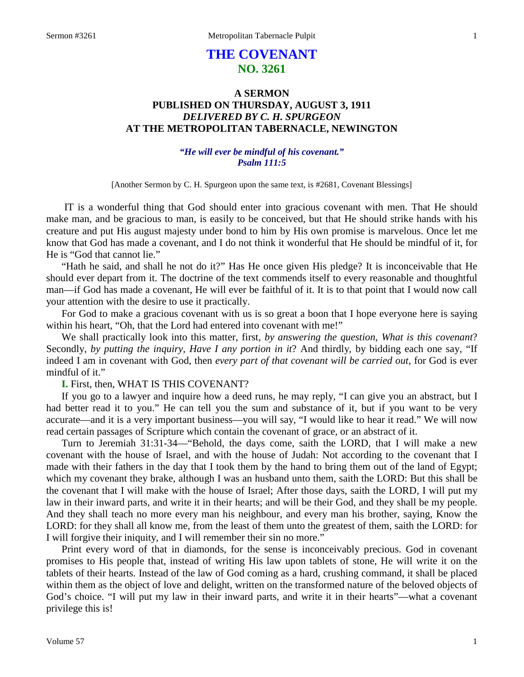# **THE COVENANT NO. 3261**

# **A SERMON PUBLISHED ON THURSDAY, AUGUST 3, 1911** *DELIVERED BY C. H. SPURGEON* **AT THE METROPOLITAN TABERNACLE, NEWINGTON**

## *"He will ever be mindful of his covenant." Psalm 111:5*

[Another Sermon by C. H. Spurgeon upon the same text, is #2681, Covenant Blessings]

IT is a wonderful thing that God should enter into gracious covenant with men. That He should make man, and be gracious to man, is easily to be conceived, but that He should strike hands with his creature and put His august majesty under bond to him by His own promise is marvelous. Once let me know that God has made a covenant, and I do not think it wonderful that He should be mindful of it, for He is "God that cannot lie."

"Hath he said, and shall he not do it?" Has He once given His pledge? It is inconceivable that He should ever depart from it. The doctrine of the text commends itself to every reasonable and thoughtful man—if God has made a covenant, He will ever be faithful of it. It is to that point that I would now call your attention with the desire to use it practically.

For God to make a gracious covenant with us is so great a boon that I hope everyone here is saying within his heart, "Oh, that the Lord had entered into covenant with me!"

We shall practically look into this matter, first, *by answering the question, What is this covenant*? Secondly, *by putting the inquiry, Have I any portion in it*? And thirdly, by bidding each one say, "If indeed I am in covenant with God, then *every part of that covenant will be carried out*, for God is ever mindful of it."

#### **I.** First, then, WHAT IS THIS COVENANT?

If you go to a lawyer and inquire how a deed runs, he may reply, "I can give you an abstract, but I had better read it to you." He can tell you the sum and substance of it, but if you want to be very accurate—and it is a very important business—you will say, "I would like to hear it read." We will now read certain passages of Scripture which contain the covenant of grace, or an abstract of it.

Turn to Jeremiah 31:31-34—"Behold, the days come, saith the LORD, that I will make a new covenant with the house of Israel, and with the house of Judah: Not according to the covenant that I made with their fathers in the day that I took them by the hand to bring them out of the land of Egypt; which my covenant they brake, although I was an husband unto them, saith the LORD: But this shall be the covenant that I will make with the house of Israel; After those days, saith the LORD, I will put my law in their inward parts, and write it in their hearts; and will be their God, and they shall be my people. And they shall teach no more every man his neighbour, and every man his brother, saying, Know the LORD: for they shall all know me, from the least of them unto the greatest of them, saith the LORD: for I will forgive their iniquity, and I will remember their sin no more."

Print every word of that in diamonds, for the sense is inconceivably precious. God in covenant promises to His people that, instead of writing His law upon tablets of stone, He will write it on the tablets of their hearts. Instead of the law of God coming as a hard, crushing command, it shall be placed within them as the object of love and delight, written on the transformed nature of the beloved objects of God's choice. "I will put my law in their inward parts, and write it in their hearts"—what a covenant privilege this is!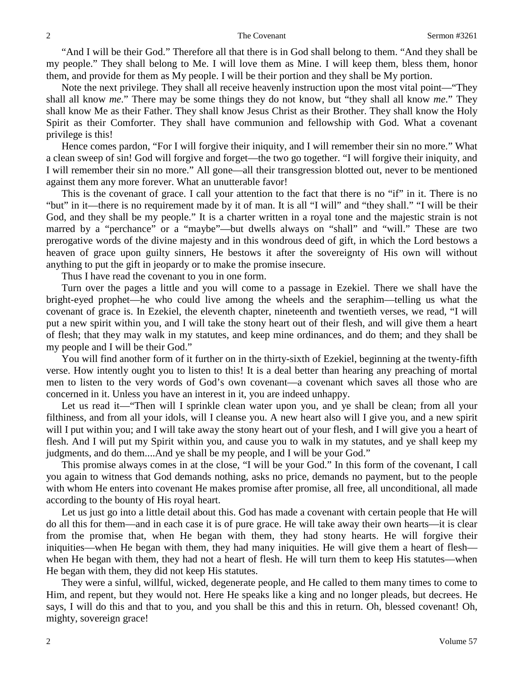"And I will be their God." Therefore all that there is in God shall belong to them. "And they shall be my people." They shall belong to Me. I will love them as Mine. I will keep them, bless them, honor them, and provide for them as My people. I will be their portion and they shall be My portion.

Note the next privilege. They shall all receive heavenly instruction upon the most vital point—"They shall all know *me*." There may be some things they do not know, but "they shall all know *me*." They shall know Me as their Father. They shall know Jesus Christ as their Brother. They shall know the Holy Spirit as their Comforter. They shall have communion and fellowship with God. What a covenant privilege is this!

Hence comes pardon, "For I will forgive their iniquity, and I will remember their sin no more." What a clean sweep of sin! God will forgive and forget—the two go together. "I will forgive their iniquity, and I will remember their sin no more." All gone—all their transgression blotted out, never to be mentioned against them any more forever. What an unutterable favor!

This is the covenant of grace. I call your attention to the fact that there is no "if" in it. There is no "but" in it—there is no requirement made by it of man. It is all "I will" and "they shall." "I will be their God, and they shall be my people." It is a charter written in a royal tone and the majestic strain is not marred by a "perchance" or a "maybe"—but dwells always on "shall" and "will." These are two prerogative words of the divine majesty and in this wondrous deed of gift, in which the Lord bestows a heaven of grace upon guilty sinners, He bestows it after the sovereignty of His own will without anything to put the gift in jeopardy or to make the promise insecure.

Thus I have read the covenant to you in one form.

Turn over the pages a little and you will come to a passage in Ezekiel. There we shall have the bright-eyed prophet—he who could live among the wheels and the seraphim—telling us what the covenant of grace is. In Ezekiel, the eleventh chapter, nineteenth and twentieth verses, we read, "I will put a new spirit within you, and I will take the stony heart out of their flesh, and will give them a heart of flesh; that they may walk in my statutes, and keep mine ordinances, and do them; and they shall be my people and I will be their God."

You will find another form of it further on in the thirty-sixth of Ezekiel, beginning at the twenty-fifth verse. How intently ought you to listen to this! It is a deal better than hearing any preaching of mortal men to listen to the very words of God's own covenant—a covenant which saves all those who are concerned in it. Unless you have an interest in it, you are indeed unhappy.

Let us read it—"Then will I sprinkle clean water upon you, and ye shall be clean; from all your filthiness, and from all your idols, will I cleanse you. A new heart also will I give you, and a new spirit will I put within you; and I will take away the stony heart out of your flesh, and I will give you a heart of flesh. And I will put my Spirit within you, and cause you to walk in my statutes, and ye shall keep my judgments, and do them....And ye shall be my people, and I will be your God."

This promise always comes in at the close, "I will be your God." In this form of the covenant, I call you again to witness that God demands nothing, asks no price, demands no payment, but to the people with whom He enters into covenant He makes promise after promise, all free, all unconditional, all made according to the bounty of His royal heart.

Let us just go into a little detail about this. God has made a covenant with certain people that He will do all this for them—and in each case it is of pure grace. He will take away their own hearts—it is clear from the promise that, when He began with them, they had stony hearts. He will forgive their iniquities—when He began with them, they had many iniquities. He will give them a heart of flesh when He began with them, they had not a heart of flesh. He will turn them to keep His statutes—when He began with them, they did not keep His statutes.

They were a sinful, willful, wicked, degenerate people, and He called to them many times to come to Him, and repent, but they would not. Here He speaks like a king and no longer pleads, but decrees. He says, I will do this and that to you, and you shall be this and this in return. Oh, blessed covenant! Oh, mighty, sovereign grace!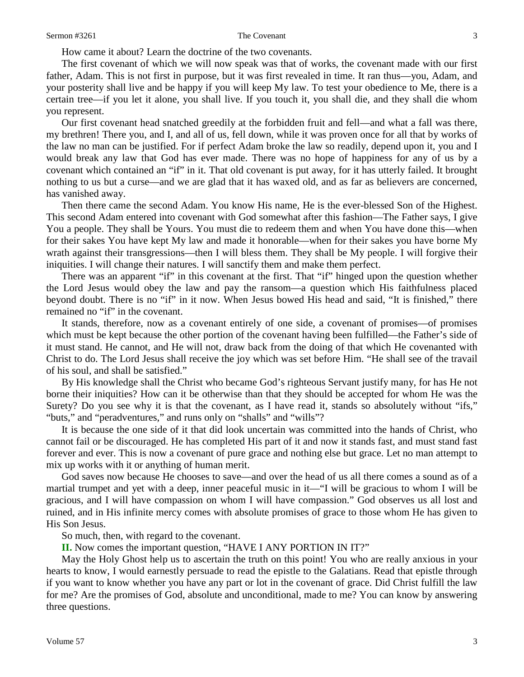How came it about? Learn the doctrine of the two covenants.

The first covenant of which we will now speak was that of works, the covenant made with our first father, Adam. This is not first in purpose, but it was first revealed in time. It ran thus—you, Adam, and your posterity shall live and be happy if you will keep My law. To test your obedience to Me, there is a certain tree—if you let it alone, you shall live. If you touch it, you shall die, and they shall die whom you represent.

Our first covenant head snatched greedily at the forbidden fruit and fell—and what a fall was there, my brethren! There you, and I, and all of us, fell down, while it was proven once for all that by works of the law no man can be justified. For if perfect Adam broke the law so readily, depend upon it, you and I would break any law that God has ever made. There was no hope of happiness for any of us by a covenant which contained an "if" in it. That old covenant is put away, for it has utterly failed. It brought nothing to us but a curse—and we are glad that it has waxed old, and as far as believers are concerned, has vanished away.

Then there came the second Adam. You know His name, He is the ever-blessed Son of the Highest. This second Adam entered into covenant with God somewhat after this fashion—The Father says, I give You a people. They shall be Yours. You must die to redeem them and when You have done this—when for their sakes You have kept My law and made it honorable—when for their sakes you have borne My wrath against their transgressions—then I will bless them. They shall be My people. I will forgive their iniquities. I will change their natures. I will sanctify them and make them perfect.

There was an apparent "if" in this covenant at the first. That "if" hinged upon the question whether the Lord Jesus would obey the law and pay the ransom—a question which His faithfulness placed beyond doubt. There is no "if" in it now. When Jesus bowed His head and said, "It is finished," there remained no "if" in the covenant.

It stands, therefore, now as a covenant entirely of one side, a covenant of promises—of promises which must be kept because the other portion of the covenant having been fulfilled—the Father's side of it must stand. He cannot, and He will not, draw back from the doing of that which He covenanted with Christ to do. The Lord Jesus shall receive the joy which was set before Him. "He shall see of the travail of his soul, and shall be satisfied."

By His knowledge shall the Christ who became God's righteous Servant justify many, for has He not borne their iniquities? How can it be otherwise than that they should be accepted for whom He was the Surety? Do you see why it is that the covenant, as I have read it, stands so absolutely without "ifs," "buts," and "peradventures," and runs only on "shalls" and "wills"?

It is because the one side of it that did look uncertain was committed into the hands of Christ, who cannot fail or be discouraged. He has completed His part of it and now it stands fast, and must stand fast forever and ever. This is now a covenant of pure grace and nothing else but grace. Let no man attempt to mix up works with it or anything of human merit.

God saves now because He chooses to save—and over the head of us all there comes a sound as of a martial trumpet and yet with a deep, inner peaceful music in it—"I will be gracious to whom I will be gracious, and I will have compassion on whom I will have compassion." God observes us all lost and ruined, and in His infinite mercy comes with absolute promises of grace to those whom He has given to His Son Jesus.

So much, then, with regard to the covenant.

**II.** Now comes the important question, "HAVE I ANY PORTION IN IT?"

May the Holy Ghost help us to ascertain the truth on this point! You who are really anxious in your hearts to know, I would earnestly persuade to read the epistle to the Galatians. Read that epistle through if you want to know whether you have any part or lot in the covenant of grace. Did Christ fulfill the law for me? Are the promises of God, absolute and unconditional, made to me? You can know by answering three questions.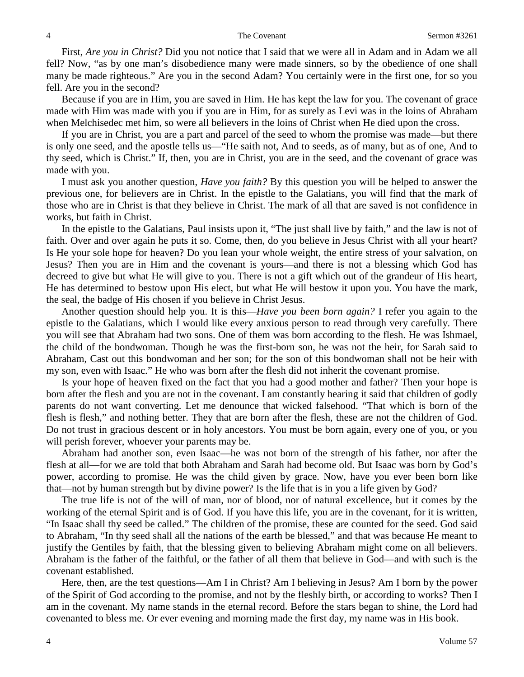First, *Are you in Christ?* Did you not notice that I said that we were all in Adam and in Adam we all fell? Now, "as by one man's disobedience many were made sinners, so by the obedience of one shall many be made righteous." Are you in the second Adam? You certainly were in the first one, for so you fell. Are you in the second?

Because if you are in Him, you are saved in Him. He has kept the law for you. The covenant of grace made with Him was made with you if you are in Him, for as surely as Levi was in the loins of Abraham when Melchisedec met him, so were all believers in the loins of Christ when He died upon the cross.

If you are in Christ, you are a part and parcel of the seed to whom the promise was made—but there is only one seed, and the apostle tells us—"He saith not, And to seeds, as of many, but as of one, And to thy seed, which is Christ." If, then, you are in Christ, you are in the seed, and the covenant of grace was made with you.

I must ask you another question, *Have you faith?* By this question you will be helped to answer the previous one, for believers are in Christ. In the epistle to the Galatians, you will find that the mark of those who are in Christ is that they believe in Christ. The mark of all that are saved is not confidence in works, but faith in Christ.

In the epistle to the Galatians, Paul insists upon it, "The just shall live by faith," and the law is not of faith. Over and over again he puts it so. Come, then, do you believe in Jesus Christ with all your heart? Is He your sole hope for heaven? Do you lean your whole weight, the entire stress of your salvation, on Jesus? Then you are in Him and the covenant is yours—and there is not a blessing which God has decreed to give but what He will give to you. There is not a gift which out of the grandeur of His heart, He has determined to bestow upon His elect, but what He will bestow it upon you. You have the mark, the seal, the badge of His chosen if you believe in Christ Jesus.

Another question should help you. It is this—*Have you been born again?* I refer you again to the epistle to the Galatians, which I would like every anxious person to read through very carefully. There you will see that Abraham had two sons. One of them was born according to the flesh. He was Ishmael, the child of the bondwoman. Though he was the first-born son, he was not the heir, for Sarah said to Abraham, Cast out this bondwoman and her son; for the son of this bondwoman shall not be heir with my son, even with Isaac." He who was born after the flesh did not inherit the covenant promise.

Is your hope of heaven fixed on the fact that you had a good mother and father? Then your hope is born after the flesh and you are not in the covenant. I am constantly hearing it said that children of godly parents do not want converting. Let me denounce that wicked falsehood. "That which is born of the flesh is flesh," and nothing better. They that are born after the flesh, these are not the children of God. Do not trust in gracious descent or in holy ancestors. You must be born again, every one of you, or you will perish forever, whoever your parents may be.

Abraham had another son, even Isaac—he was not born of the strength of his father, nor after the flesh at all—for we are told that both Abraham and Sarah had become old. But Isaac was born by God's power, according to promise. He was the child given by grace. Now, have you ever been born like that—not by human strength but by divine power? Is the life that is in you a life given by God?

The true life is not of the will of man, nor of blood, nor of natural excellence, but it comes by the working of the eternal Spirit and is of God. If you have this life, you are in the covenant, for it is written, "In Isaac shall thy seed be called." The children of the promise, these are counted for the seed. God said to Abraham, "In thy seed shall all the nations of the earth be blessed," and that was because He meant to justify the Gentiles by faith, that the blessing given to believing Abraham might come on all believers. Abraham is the father of the faithful, or the father of all them that believe in God—and with such is the covenant established.

Here, then, are the test questions—Am I in Christ? Am I believing in Jesus? Am I born by the power of the Spirit of God according to the promise, and not by the fleshly birth, or according to works? Then I am in the covenant. My name stands in the eternal record. Before the stars began to shine, the Lord had covenanted to bless me. Or ever evening and morning made the first day, my name was in His book.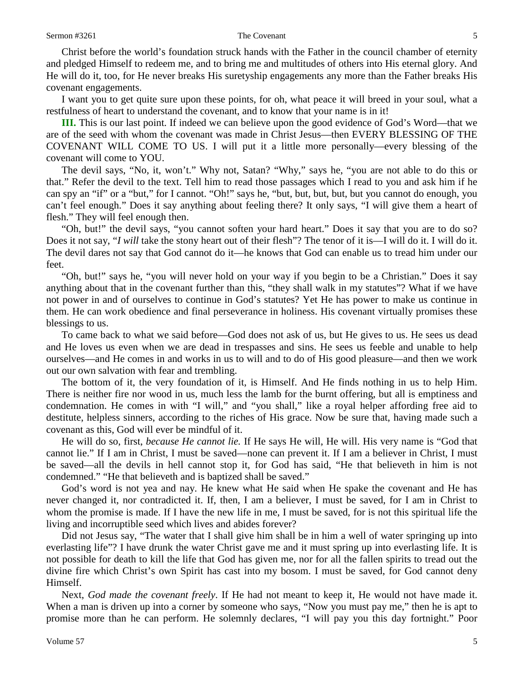Christ before the world's foundation struck hands with the Father in the council chamber of eternity and pledged Himself to redeem me, and to bring me and multitudes of others into His eternal glory. And He will do it, too, for He never breaks His suretyship engagements any more than the Father breaks His covenant engagements.

I want you to get quite sure upon these points, for oh, what peace it will breed in your soul, what a restfulness of heart to understand the covenant, and to know that your name is in it!

**III.** This is our last point. If indeed we can believe upon the good evidence of God's Word—that we are of the seed with whom the covenant was made in Christ Jesus—then EVERY BLESSING OF THE COVENANT WILL COME TO US. I will put it a little more personally—every blessing of the covenant will come to YOU.

The devil says, "No, it, won't." Why not, Satan? "Why," says he, "you are not able to do this or that." Refer the devil to the text. Tell him to read those passages which I read to you and ask him if he can spy an "if" or a "but," for I cannot. "Oh!" says he, "but, but, but, but, but you cannot do enough, you can't feel enough." Does it say anything about feeling there? It only says, "I will give them a heart of flesh." They will feel enough then.

"Oh, but!" the devil says, "you cannot soften your hard heart." Does it say that you are to do so? Does it not say, "*I will* take the stony heart out of their flesh"? The tenor of it is—I will do it. I will do it. The devil dares not say that God cannot do it—he knows that God can enable us to tread him under our feet.

"Oh, but!" says he, "you will never hold on your way if you begin to be a Christian." Does it say anything about that in the covenant further than this, "they shall walk in my statutes"? What if we have not power in and of ourselves to continue in God's statutes? Yet He has power to make us continue in them. He can work obedience and final perseverance in holiness. His covenant virtually promises these blessings to us.

To came back to what we said before—God does not ask of us, but He gives to us. He sees us dead and He loves us even when we are dead in trespasses and sins. He sees us feeble and unable to help ourselves—and He comes in and works in us to will and to do of His good pleasure—and then we work out our own salvation with fear and trembling.

The bottom of it, the very foundation of it, is Himself. And He finds nothing in us to help Him. There is neither fire nor wood in us, much less the lamb for the burnt offering, but all is emptiness and condemnation. He comes in with "I will," and "you shall," like a royal helper affording free aid to destitute, helpless sinners, according to the riches of His grace. Now be sure that, having made such a covenant as this, God will ever be mindful of it.

He will do so, first, *because He cannot lie.* If He says He will, He will. His very name is "God that cannot lie." If I am in Christ, I must be saved—none can prevent it. If I am a believer in Christ, I must be saved—all the devils in hell cannot stop it, for God has said, "He that believeth in him is not condemned." "He that believeth and is baptized shall be saved."

God's word is not yea and nay. He knew what He said when He spake the covenant and He has never changed it, nor contradicted it. If, then, I am a believer, I must be saved, for I am in Christ to whom the promise is made. If I have the new life in me, I must be saved, for is not this spiritual life the living and incorruptible seed which lives and abides forever?

Did not Jesus say, "The water that I shall give him shall be in him a well of water springing up into everlasting life"? I have drunk the water Christ gave me and it must spring up into everlasting life. It is not possible for death to kill the life that God has given me, nor for all the fallen spirits to tread out the divine fire which Christ's own Spirit has cast into my bosom. I must be saved, for God cannot deny Himself.

Next, *God made the covenant freely*. If He had not meant to keep it, He would not have made it. When a man is driven up into a corner by someone who says, "Now you must pay me," then he is apt to promise more than he can perform. He solemnly declares, "I will pay you this day fortnight." Poor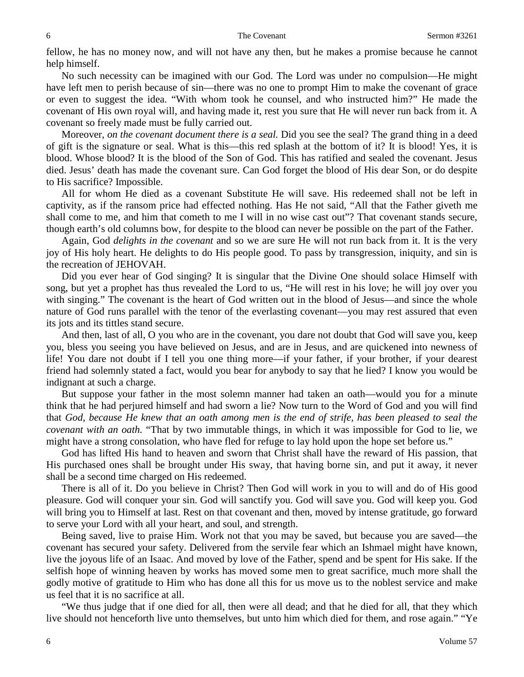fellow, he has no money now, and will not have any then, but he makes a promise because he cannot help himself.

No such necessity can be imagined with our God. The Lord was under no compulsion—He might have left men to perish because of sin—there was no one to prompt Him to make the covenant of grace or even to suggest the idea. "With whom took he counsel, and who instructed him?" He made the covenant of His own royal will, and having made it, rest you sure that He will never run back from it. A covenant so freely made must be fully carried out.

Moreover, *on the covenant document there is a seal.* Did you see the seal? The grand thing in a deed of gift is the signature or seal. What is this—this red splash at the bottom of it? It is blood! Yes, it is blood. Whose blood? It is the blood of the Son of God. This has ratified and sealed the covenant. Jesus died. Jesus' death has made the covenant sure. Can God forget the blood of His dear Son, or do despite to His sacrifice? Impossible.

All for whom He died as a covenant Substitute He will save. His redeemed shall not be left in captivity, as if the ransom price had effected nothing. Has He not said, "All that the Father giveth me shall come to me, and him that cometh to me I will in no wise cast out"? That covenant stands secure, though earth's old columns bow, for despite to the blood can never be possible on the part of the Father.

Again, God *delights in the covenant* and so we are sure He will not run back from it. It is the very joy of His holy heart. He delights to do His people good. To pass by transgression, iniquity, and sin is the recreation of JEHOVAH.

Did you ever hear of God singing? It is singular that the Divine One should solace Himself with song, but yet a prophet has thus revealed the Lord to us, "He will rest in his love; he will joy over you with singing." The covenant is the heart of God written out in the blood of Jesus—and since the whole nature of God runs parallel with the tenor of the everlasting covenant—you may rest assured that even its jots and its tittles stand secure.

And then, last of all, O you who are in the covenant, you dare not doubt that God will save you, keep you, bless you seeing you have believed on Jesus, and are in Jesus, and are quickened into newness of life! You dare not doubt if I tell you one thing more—if your father, if your brother, if your dearest friend had solemnly stated a fact, would you bear for anybody to say that he lied? I know you would be indignant at such a charge.

But suppose your father in the most solemn manner had taken an oath—would you for a minute think that he had perjured himself and had sworn a lie? Now turn to the Word of God and you will find that *God, because He knew that an oath among men is the end of strife, has been pleased to seal the covenant with an oath.* "That by two immutable things, in which it was impossible for God to lie, we might have a strong consolation, who have fled for refuge to lay hold upon the hope set before us."

God has lifted His hand to heaven and sworn that Christ shall have the reward of His passion, that His purchased ones shall be brought under His sway, that having borne sin, and put it away, it never shall be a second time charged on His redeemed.

There is all of it. Do you believe in Christ? Then God will work in you to will and do of His good pleasure. God will conquer your sin. God will sanctify you. God will save you. God will keep you. God will bring you to Himself at last. Rest on that covenant and then, moved by intense gratitude, go forward to serve your Lord with all your heart, and soul, and strength.

Being saved, live to praise Him. Work not that you may be saved, but because you are saved—the covenant has secured your safety. Delivered from the servile fear which an Ishmael might have known, live the joyous life of an Isaac. And moved by love of the Father, spend and be spent for His sake. If the selfish hope of winning heaven by works has moved some men to great sacrifice, much more shall the godly motive of gratitude to Him who has done all this for us move us to the noblest service and make us feel that it is no sacrifice at all.

"We thus judge that if one died for all, then were all dead; and that he died for all, that they which live should not henceforth live unto themselves, but unto him which died for them, and rose again." "Ye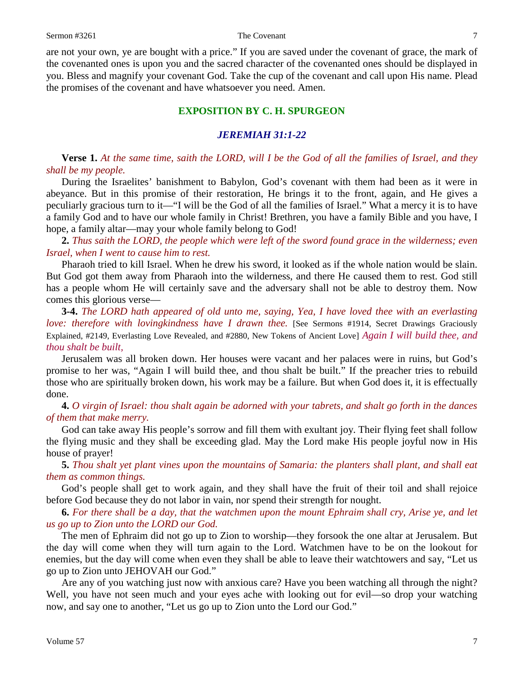are not your own, ye are bought with a price." If you are saved under the covenant of grace, the mark of the covenanted ones is upon you and the sacred character of the covenanted ones should be displayed in you. Bless and magnify your covenant God. Take the cup of the covenant and call upon His name. Plead the promises of the covenant and have whatsoever you need. Amen.

## **EXPOSITION BY C. H. SPURGEON**

#### *JEREMIAH 31:1-22*

**Verse 1.** *At the same time, saith the LORD, will I be the God of all the families of Israel, and they shall be my people.* 

During the Israelites' banishment to Babylon, God's covenant with them had been as it were in abeyance. But in this promise of their restoration, He brings it to the front, again, and He gives a peculiarly gracious turn to it—"I will be the God of all the families of Israel." What a mercy it is to have a family God and to have our whole family in Christ! Brethren, you have a family Bible and you have, I hope, a family altar—may your whole family belong to God!

**2.** *Thus saith the LORD, the people which were left of the sword found grace in the wilderness; even Israel, when I went to cause him to rest.* 

Pharaoh tried to kill Israel. When he drew his sword, it looked as if the whole nation would be slain. But God got them away from Pharaoh into the wilderness, and there He caused them to rest. God still has a people whom He will certainly save and the adversary shall not be able to destroy them. Now comes this glorious verse—

**3-4.** *The LORD hath appeared of old unto me, saying, Yea, I have loved thee with an everlasting love: therefore with lovingkindness have I drawn thee.* [See Sermons #1914, Secret Drawings Graciously Explained, #2149, Everlasting Love Revealed, and #2880, New Tokens of Ancient Love] *Again I will build thee, and thou shalt be built,*

Jerusalem was all broken down. Her houses were vacant and her palaces were in ruins, but God's promise to her was, "Again I will build thee, and thou shalt be built." If the preacher tries to rebuild those who are spiritually broken down, his work may be a failure. But when God does it, it is effectually done.

**4.** *O virgin of Israel: thou shalt again be adorned with your tabrets, and shalt go forth in the dances of them that make merry.* 

God can take away His people's sorrow and fill them with exultant joy. Their flying feet shall follow the flying music and they shall be exceeding glad. May the Lord make His people joyful now in His house of prayer!

**5.** *Thou shalt yet plant vines upon the mountains of Samaria: the planters shall plant, and shall eat them as common things.* 

God's people shall get to work again, and they shall have the fruit of their toil and shall rejoice before God because they do not labor in vain, nor spend their strength for nought.

**6.** *For there shall be a day, that the watchmen upon the mount Ephraim shall cry, Arise ye, and let us go up to Zion unto the LORD our God.* 

The men of Ephraim did not go up to Zion to worship—they forsook the one altar at Jerusalem. But the day will come when they will turn again to the Lord. Watchmen have to be on the lookout for enemies, but the day will come when even they shall be able to leave their watchtowers and say, "Let us go up to Zion unto JEHOVAH our God."

Are any of you watching just now with anxious care? Have you been watching all through the night? Well, you have not seen much and your eyes ache with looking out for evil—so drop your watching now, and say one to another, "Let us go up to Zion unto the Lord our God."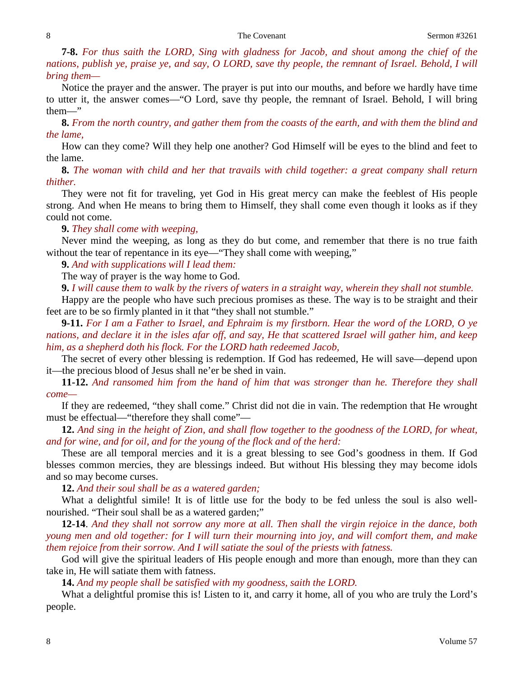**7-8.** *For thus saith the LORD, Sing with gladness for Jacob, and shout among the chief of the nations, publish ye, praise ye, and say, O LORD, save thy people, the remnant of Israel. Behold, I will bring them—*

Notice the prayer and the answer. The prayer is put into our mouths, and before we hardly have time to utter it, the answer comes—"O Lord, save thy people, the remnant of Israel. Behold, I will bring them—"

**8.** *From the north country, and gather them from the coasts of the earth, and with them the blind and the lame,*

How can they come? Will they help one another? God Himself will be eyes to the blind and feet to the lame.

**8.** *The woman with child and her that travails with child together: a great company shall return thither.* 

They were not fit for traveling, yet God in His great mercy can make the feeblest of His people strong. And when He means to bring them to Himself, they shall come even though it looks as if they could not come.

#### **9.** *They shall come with weeping,*

Never mind the weeping, as long as they do but come, and remember that there is no true faith without the tear of repentance in its eye—"They shall come with weeping,"

**9.** *And with supplications will I lead them:*

The way of prayer is the way home to God.

**9.** *I will cause them to walk by the rivers of waters in a straight way, wherein they shall not stumble.*

Happy are the people who have such precious promises as these. The way is to be straight and their feet are to be so firmly planted in it that "they shall not stumble."

**9-11.** *For I am a Father to Israel, and Ephraim is my firstborn. Hear the word of the LORD, O ye nations, and declare it in the isles afar off, and say, He that scattered Israel will gather him, and keep him, as a shepherd doth his flock. For the LORD hath redeemed Jacob,*

The secret of every other blessing is redemption. If God has redeemed, He will save—depend upon it—the precious blood of Jesus shall ne'er be shed in vain.

**11-12.** *And ransomed him from the hand of him that was stronger than he. Therefore they shall come—*

If they are redeemed, "they shall come." Christ did not die in vain. The redemption that He wrought must be effectual—"therefore they shall come"—

**12.** *And sing in the height of Zion, and shall flow together to the goodness of the LORD, for wheat, and for wine, and for oil, and for the young of the flock and of the herd:*

These are all temporal mercies and it is a great blessing to see God's goodness in them. If God blesses common mercies, they are blessings indeed. But without His blessing they may become idols and so may become curses.

**12.** *And their soul shall be as a watered garden;*

What a delightful simile! It is of little use for the body to be fed unless the soul is also wellnourished. "Their soul shall be as a watered garden;"

**12-14**. *And they shall not sorrow any more at all. Then shall the virgin rejoice in the dance, both young men and old together: for I will turn their mourning into joy, and will comfort them, and make them rejoice from their sorrow. And I will satiate the soul of the priests with fatness.*

God will give the spiritual leaders of His people enough and more than enough, more than they can take in, He will satiate them with fatness.

**14.** *And my people shall be satisfied with my goodness, saith the LORD.* 

What a delightful promise this is! Listen to it, and carry it home, all of you who are truly the Lord's people.